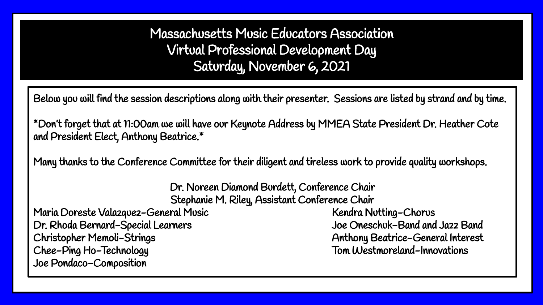Massachusetts Music Educators Association Virtual Professional Development Day Saturday, November 6, 2021

Below you will find the session descriptions along with their presenter. Sessions are listed by strand and by time.

\*Don't forget that at 11:00am we will have our Keynote Address by MMEA State President Dr. Heather Cote and President Elect, Anthony Beatrice.\*

Many thanks to the Conference Committee for their diligent and tireless work to provide quality workshops.

Dr. Noreen Diamond Burdett, Conference Chair Stephanie M. Riley, Assistant Conference Chair

Maria Doreste Valazquez-General Music Kendra Nutting-Chorus Kendra Nutting-Chorus Dr. Rhoda Bernard-Special Learners Joe Oneschuk-Band and Jazz Band Christopher Memoli-Strings Anthony Beatrice-General Interest Chee-Ping Ho-Technology Tom Westmoreland-Innovations Joe Pondaco-Composition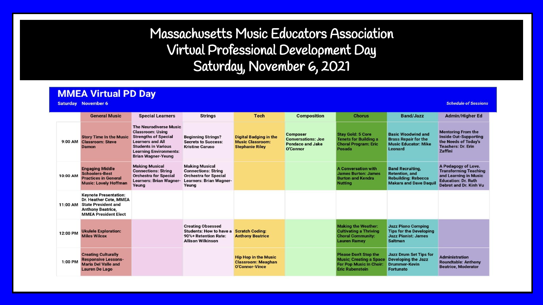# Massachusetts Music Educators Association Virtual Professional Development Day Saturday, November 6, 2021

#### **MMEA Virtual PD Day**

**Saturday** November 6

**Schedule of Sessions** 

|          | <b>General Music</b>                                                                                                                            | <b>Special Learners</b>                                                                                                                                                                                        | <b>Strings</b>                                                                                                                 | <b>Tech</b>                                                                        | <b>Composition</b>                                                                  | <b>Chorus</b>                                                                                                              | <b>Band/Jazz</b>                                                                                                | <b>Admin/Higher Ed</b>                                                                                                               |
|----------|-------------------------------------------------------------------------------------------------------------------------------------------------|----------------------------------------------------------------------------------------------------------------------------------------------------------------------------------------------------------------|--------------------------------------------------------------------------------------------------------------------------------|------------------------------------------------------------------------------------|-------------------------------------------------------------------------------------|----------------------------------------------------------------------------------------------------------------------------|-----------------------------------------------------------------------------------------------------------------|--------------------------------------------------------------------------------------------------------------------------------------|
| 9:00 AM  | <b>Story Time In the Music</b><br><b>Classroom: Steve</b><br><b>Damon</b>                                                                       | <b>The Neurodiverse Music</b><br><b>Classroom: Using</b><br><b>Strengths of Special</b><br><b>Learners and All</b><br><b>Students in Various</b><br><b>Learning Environments:</b><br><b>Brian Wagner-Yeung</b> | <b>Beginning Strings?</b><br><b>Secrets to Success:</b><br><b>Kristine Caruso</b>                                              | <b>Digital Badging in the</b><br><b>Music Classroom:</b><br><b>Stephanie Riley</b> | <b>Composer</b><br><b>Conversations: Joe</b><br><b>Pondaco and Jake</b><br>O'Connor | <b>Stay Gold: 5 Core</b><br><b>Tenets for Building a</b><br><b>Choral Program: Eric</b><br>Posada                          | <b>Basic Woodwind and</b><br><b>Brass Repair for the</b><br><b>Music Educator: Mike</b><br><b>Leonard</b>       | <b>Mentoring From the</b><br><b>Inside Out-Supporting</b><br>the Needs of Today's<br><b>Teachers: Dr. Erin</b><br>Zaffini            |
| 10:00 AM | <b>Engaging Middle</b><br><b>Schoolers-Best</b><br><b>Practices in General</b><br><b>Music: Lovely Hoffman</b>                                  | <b>Making Musical</b><br><b>Connections: String</b><br><b>Orchestra for Special</b><br><b>Learners: Brian Wagner-</b><br>Yeung                                                                                 | <b>Making Musical</b><br><b>Connections: String</b><br><b>Orchestra for Special</b><br><b>Learners: Brian Wagner-</b><br>Yeung |                                                                                    |                                                                                     | <b>A Conversation with</b><br><b>James Burton: James</b><br><b>Burton and Kendra</b><br><b>Nutting</b>                     | <b>Band Recruiting,</b><br><b>Retention, and</b><br><b>Rebuilding: Rebecca</b><br><b>Makara and Dave Daquil</b> | A Pedagogy of Love.<br><b>Transforming Teaching</b><br>and Learning in Music<br><b>Education: Dr. Ruth</b><br>Debrot and Dr. Kinh Vu |
| 11:00 AM | <b>Keynote Presentation:</b><br>Dr. Heather Cote, MMEA<br><b>State President and</b><br><b>Anthony Beatrice,</b><br><b>MMEA President Elect</b> |                                                                                                                                                                                                                |                                                                                                                                |                                                                                    |                                                                                     |                                                                                                                            |                                                                                                                 |                                                                                                                                      |
| 12:00 PM | <b>Ukulele Exploration:</b><br><b>Miles Wilcox</b>                                                                                              |                                                                                                                                                                                                                | <b>Creating Obsessed</b><br><b>Students: How to have a</b><br>90%+ Retention Rate:<br><b>Allison Wilkinson</b>                 | <b>Scratch Coding:</b><br><b>Anthony Beatrice</b>                                  |                                                                                     | <b>Making the Weather:</b><br><b>Cultivating a Thriving</b><br><b>Choral Community:</b><br><b>Lauren Ramey</b>             | <b>Jazz Piano Comping</b><br><b>Tips for the Developing</b><br><b>Jazz Pianist: James</b><br><b>Saltman</b>     |                                                                                                                                      |
| 1:00 PM  | <b>Creating Culturally</b><br><b>Responsive Lessons-</b><br><b>Maria Del Valle and</b><br><b>Lauren De Lago</b>                                 |                                                                                                                                                                                                                |                                                                                                                                | <b>Hip Hop in the Music</b><br><b>Classroom: Meaghan</b><br>O'Connor-Vince         |                                                                                     | <b>Please Don't Stop the</b><br><b>Music: Creating a Space</b><br><b>For Pop Music in Choir:</b><br><b>Eric Rubenstein</b> | <b>Jazz Drum Set Tips for</b><br><b>Developing the Jazz</b><br><b>Drummer-Kevin</b><br><b>Fortunato</b>         | <b>Administration</b><br><b>Roundtable: Anthony</b><br><b>Beatrice, Moderator</b>                                                    |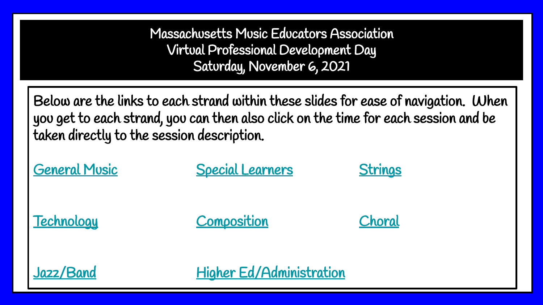Massachusetts Music Educators Association Virtual Professional Development Day Saturday, November 6, 2021

Below are the links to each strand within these slides for ease of navigation. When you get to each strand, you can then also click on the time for each session and be taken directly to the session description.

**[General Music](#page-3-0) Construction [Special Learners](#page-8-0) [Strings](#page-12-0)** [Technology](#page-14-0) [Composition](#page-18-0) [Choral](#page-19-0) [Jazz/Band](#page-24-0) [Higher Ed/Administration](#page-29-0)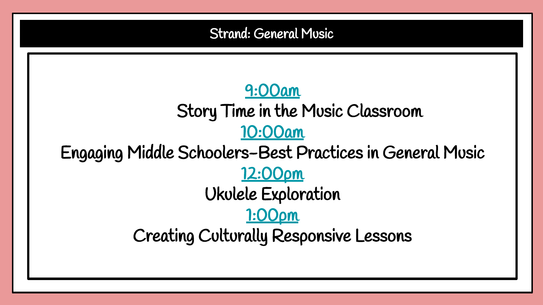<span id="page-3-0"></span>[9:00am](#page-4-0) Story Time in the Music Classroom [10:00am](#page-5-0) Engaging Middle Schoolers-Best Practices in General Music [12:00pm](#page-6-0) Ukulele Exploration [1:00pm](#page-7-0) Creating Culturally Responsive Lessons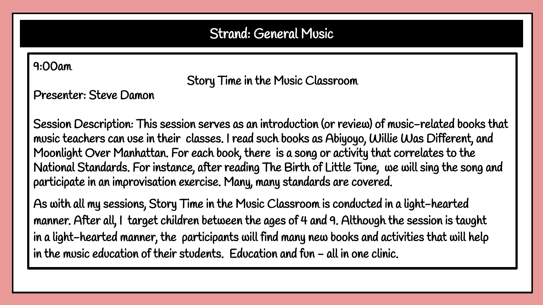#### <span id="page-4-0"></span>9:00am

Story Time in the Music Classroom

Presenter: Steve Damon

Session Description: This session serves as an introduction (or review) of music-related books that music teachers can use in their classes. I read such books as Abiyoyo, Willie Was Different, and Moonlight Over Manhattan. For each book, there is a song or activity that correlates to the National Standards. For instance, after reading The Birth of Little Tune, we will sing the song and participate in an improvisation exercise. Many, many standards are covered.

As with all my sessions, Story Time in the Music Classroom is conducted in a light-hearted manner. After all, I target children between the ages of 4 and 9. Although the session is taught in a light-hearted manner, the participants will find many new books and activities that will help in the music education of their students. Education and fun - all in one clinic.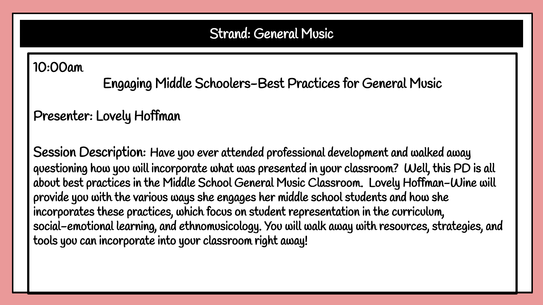# <span id="page-5-0"></span>10:00am

Engaging Middle Schoolers-Best Practices for General Music

# Presenter: Lovely Hoffman

Session Description: Have you ever attended professional development and walked away questioning how you will incorporate what was presented in your classroom? Well, this PD is all about best practices in the Middle School General Music Classroom. Lovely Hoffman-Wine will provide you with the various ways she engages her middle school students and how she incorporates these practices, which focus on student representation in the curriculum, social-emotional learning, and ethnomusicology. You will walk away with resources, strategies, and tools you can incorporate into your classroom right away!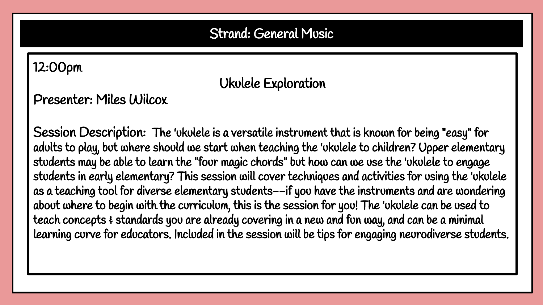#### <span id="page-6-0"></span>12:00pm

# Ukulele Exploration

Presenter: Miles Wilcox

Session Description: The 'ukulele is a versatile instrument that is known for being "easy" for adults to play, but where should we start when teaching the 'ukulele to children? Upper elementary students may be able to learn the "four magic chords" but how can we use the 'ukulele to engage students in early elementary? This session will cover techniques and activities for using the 'ukulele as a teaching tool for diverse elementary students--if you have the instruments and are wondering about where to begin with the curriculum, this is the session for you! The 'ukulele can be used to teach concepts  $\epsilon$  standards you are already covering in a new and fun way, and can be a minimal learning curve for educators. Included in the session will be tips for engaging neurodiverse students.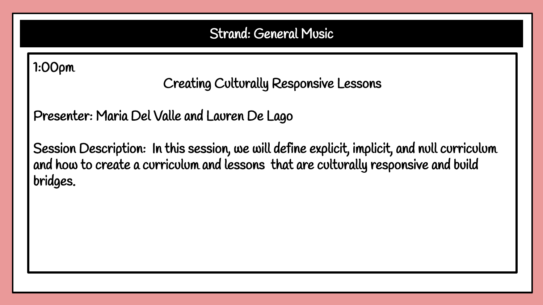# <span id="page-7-0"></span>1:00pm

Creating Culturally Responsive Lessons

Presenter: Maria Del Valle and Lauren De Lago

Session Description: In this session, we will define explicit, implicit, and null curriculum and how to create a curriculum and lessons that are culturally responsive and build bridges.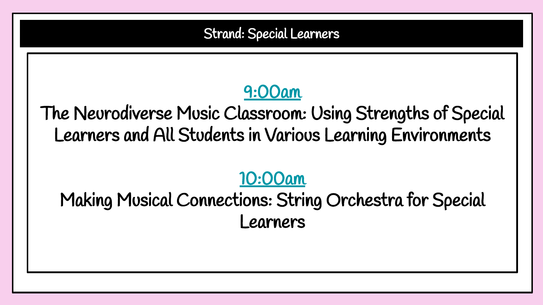Strand: Special Learners

# [9:00am](#page-9-0)

<span id="page-8-0"></span>The Neurodiverse Music Classroom: Using Strengths of Special Learners and All Students in Various Learning Environments

# [10:00am](#page-10-0)

Making Musical Connections: String Orchestra for Special Learners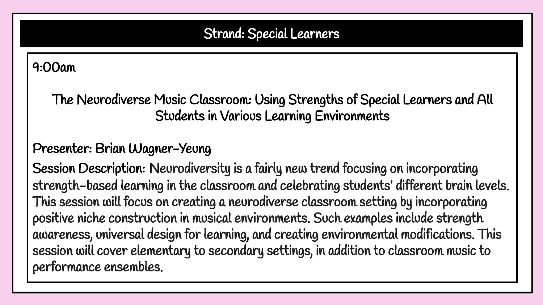# Strand: Special Learners

# <span id="page-9-0"></span>9:00am

The Neurodiverse Music Classroom: Using Strengths of Special Learners and All Students in Various Learning Environments

# Presenter: Brian Wagner-Yeung

Session Description: Neurodiversity is a fairly new trend focusing on incorporating strength-based learning in the classroom and celebrating students' different brain levels. This session will focus on creating a neurodiverse classroom setting by incorporating positive niche construction in musical environments. Such examples include strength awareness, universal design for learning, and creating environmental modifications. This session will cover elementary to secondary settings, in addition to classroom music to performance ensembles.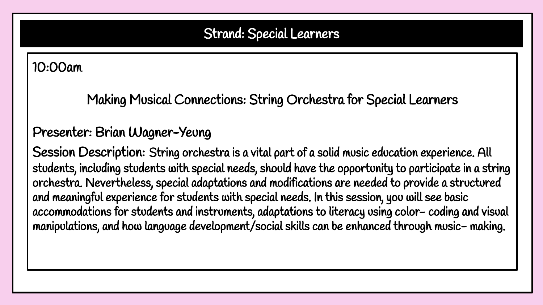# Strand: Special Learners

#### <span id="page-10-0"></span>10:00am

Making Musical Connections: String Orchestra for Special Learners

# Presenter: Brian Wagner-Yeung

Session Description: String orchestra is a vital part of a solid music education experience. All students, including students with special needs, should have the opportunity to participate in a string orchestra. Nevertheless, special adaptations and modifications are needed to provide a structured and meaningful experience for students with special needs. In this session, you will see basic accommodations for students and instruments, adaptations to literacy using color- coding and visual manipulations, and how language development/social skills can be enhanced through music- making.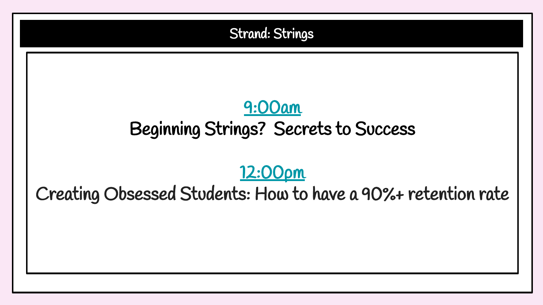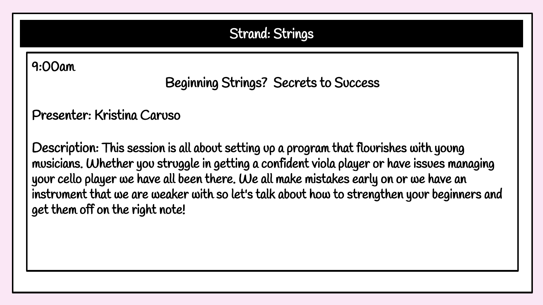# Strand: Strings

#### <span id="page-12-0"></span>9:00am

# Beginning Strings? Secrets to Success

Presenter: Kristina Caruso

Description: This session is all about setting up a program that flourishes with young musicians. Whether you struggle in getting a confident viola player or have issues managing your cello player we have all been there. We all make mistakes early on or we have an instrument that we are weaker with so let's talk about how to strengthen your beginners and get them off on the right note!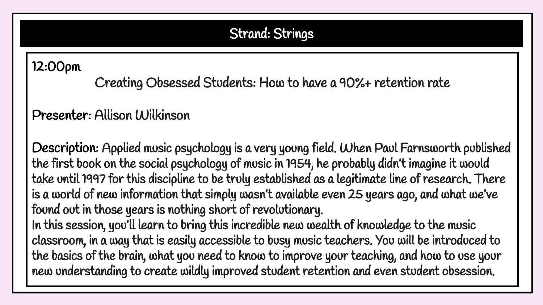# Strand: Strings

<span id="page-13-0"></span>12:00pm

Creating Obsessed Students: How to have a 90%+ retention rate

Presenter: Allison Wilkinson

Description: Applied music psychology is a very young field. When Paul Farnsworth published the first book on the social psychology of music in 1954, he probably didn't imagine it would take until 1997 for this discipline to be truly established as a legitimate line of research. There is a world of new information that simply wasn't available even 25 years ago, and what we've found out in those years is nothing short of revolutionary. In this session, you'll learn to bring this incredible new wealth of knowledge to the music

classroom, in a way that is easily accessible to busy music teachers. You will be introduced to the basics of the brain, what you need to know to improve your teaching, and how to use your new understanding to create wildly improved student retention and even student obsession.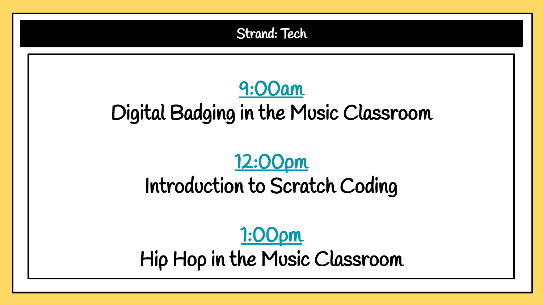<span id="page-14-0"></span>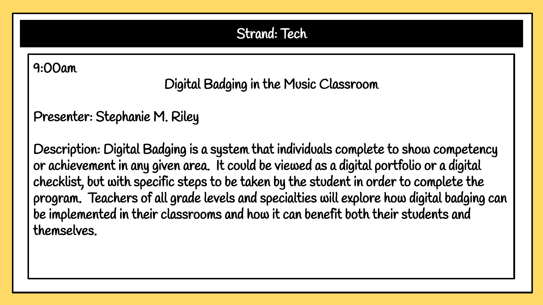Strand: Tech

#### <span id="page-15-0"></span>9:00am

Digital Badging in the Music Classroom

Presenter: Stephanie M. Riley

Description: Digital Badging is a system that individuals complete to show competency or achievement in any given area. It could be viewed as a digital portfolio or a digital checklist, but with specific steps to be taken by the student in order to complete the program. Teachers of all grade levels and specialties will explore how digital badging can be implemented in their classrooms and how it can benefit both their students and themselves.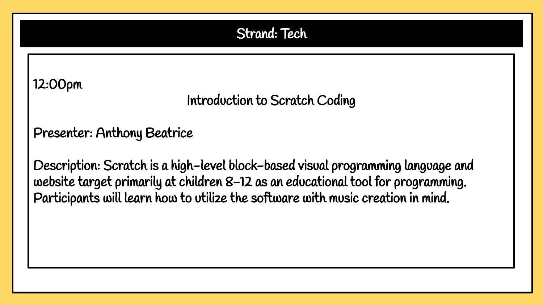### Strand: Tech

<span id="page-16-0"></span>12:00pm

Introduction to Scratch Coding

Presenter: Anthony Beatrice

Description: Scratch is a high-level block-based visual programming language and website target primarily at children 8-12 as an educational tool for programming. Participants will learn how to utilize the software with music creation in mind.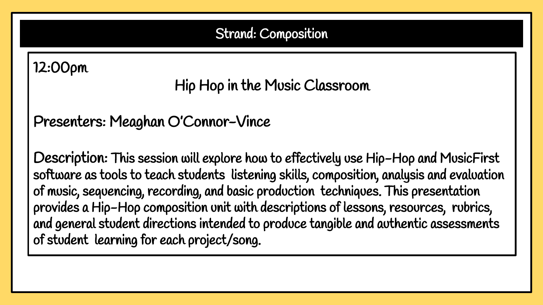# Strand: Composition

# <span id="page-17-0"></span>12:00pm

Hip Hop in the Music Classroom

Presenters: Meaghan O'Connor-Vince

Description: This session will explore how to effectively use Hip-Hop and MusicFirst software as tools to teach students listening skills, composition, analysis and evaluation of music, sequencing, recording, and basic production techniques. This presentation provides a Hip-Hop composition unit with descriptions of lessons, resources, rubrics, and general student directions intended to produce tangible and authentic assessments of student learning for each project/song.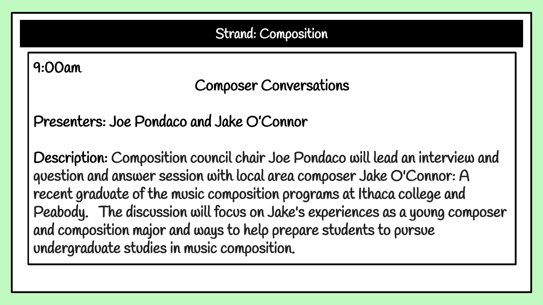# Strand: Composition

# <span id="page-18-0"></span>9:00am

# Composer Conversations

Presenters: Joe Pondaco and Jake O'Connor

Description: Composition council chair Joe Pondaco will lead an interview and question and answer session with local area composer Jake O'Connor: A recent graduate of the music composition programs at Ithaca college and Peabody. The discussion will focus on Jake's experiences as a young composer and composition major and ways to help prepare students to pursue undergraduate studies in music composition.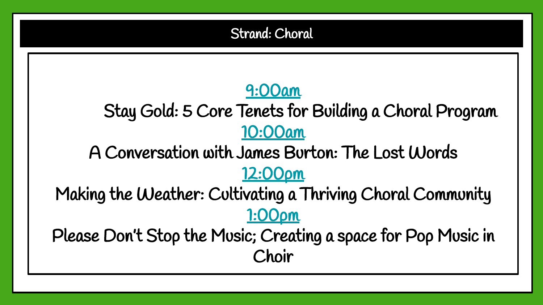# [9:00am](#page-20-0)

<span id="page-19-0"></span>Stay Gold: 5 Core Tenets for Building a Choral Program [10:00am](#page-21-0)

A Conversation with James Burton: The Lost Words [12:00pm](#page-22-0)

Making the Weather: Cultivating a Thriving Choral Community [1:00pm](#page-23-0)

Please Don't Stop the Music; Creating a space for Pop Music in Choir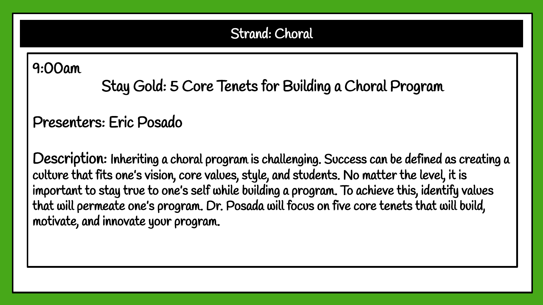# <span id="page-20-0"></span>9:00am

Stay Gold: 5 Core Tenets for Building a Choral Program

# Presenters: Eric Posado

Description: Inheriting a choral program is challenging. Success can be defined as creating a culture that fits one's vision, core values, style, and students. No matter the level, it is important to stay true to one's self while building a program. To achieve this, identify values that will permeate one's program. Dr. Posada will focus on five core tenets that will build, motivate, and innovate your program.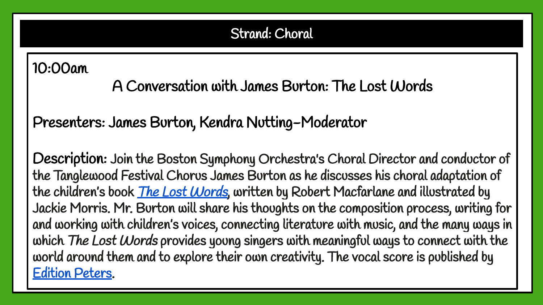# <span id="page-21-0"></span>10:00am

A Conversation with James Burton: The Lost Words

# Presenters: James Burton, Kendra Nutting-Moderator

Description: Join the Boston Symphony Orchestra's Choral Director and conductor of the Tanglewood Festival Chorus James Burton as he discusses his choral adaptation of the children's book *[The Lost Words](https://www.penguin.co.uk/articles/2017/designing-the-lost-words.html)*, written by Robert Macfarlane and illustrated by Jackie Morris. Mr. Burton will share his thoughts on the composition process, writing for and working with children's voices, connecting literature with music, and the many ways in which The Lost Words provides young singers with meaningful ways to connect with the world around them and to explore their own creativity. The vocal score is published by [Edition Peters](https://www.editionpeters.com/product/the-lost-words/ep73416a).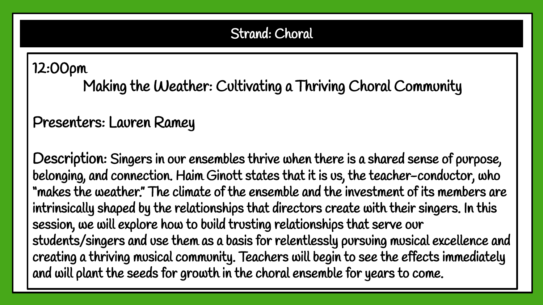# <span id="page-22-0"></span>12:00pm

Making the Weather: Cultivating a Thriving Choral Community

# Presenters: Lauren Ramey

Description: Singers in our ensembles thrive when there is a shared sense of purpose, belonging, and connection. Haim Ginott states that it is us, the teacher-conductor, who "makes the weather." The climate of the ensemble and the investment of its members are intrinsically shaped by the relationships that directors create with their singers. In this session, we will explore how to build trusting relationships that serve our students/singers and use them as a basis for relentlessly pursuing musical excellence and creating a thriving musical community. Teachers will begin to see the effects immediately and will plant the seeds for growth in the choral ensemble for years to come.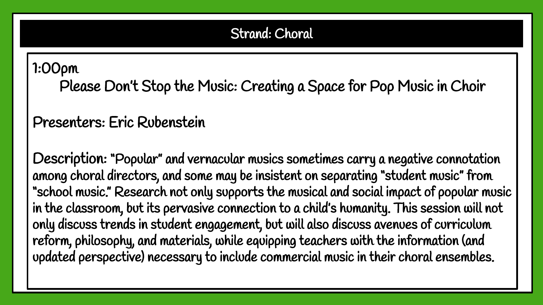# <span id="page-23-0"></span>1:00pm

Please Don't Stop the Music: Creating a Space for Pop Music in Choir

# Presenters: Eric Rubenstein

Description: "Popular" and vernacular musics sometimes carry a negative connotation among choral directors, and some may be insistent on separating "student music" from "school music." Research not only supports the musical and social impact of popular music in the classroom, but its pervasive connection to a child's humanity. This session will not only discuss trends in student engagement, but will also discuss avenues of curriculum reform, philosophy, and materials, while equipping teachers with the information (and updated perspective) necessary to include commercial music in their choral ensembles.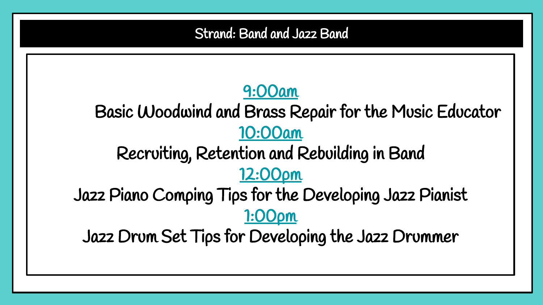<span id="page-24-0"></span>Strand: Band and Jazz Band [9:00am](#page-25-0) Basic Woodwind and Brass Repair for the Music Educator [10:00am](#page-26-0) Recruiting, Retention and Rebuilding in Band [12:00pm](#page-27-0) Jazz Piano Comping Tips for the Developing Jazz Pianist [1:00pm](#page-28-0) Jazz Drum Set Tips for Developing the Jazz Drummer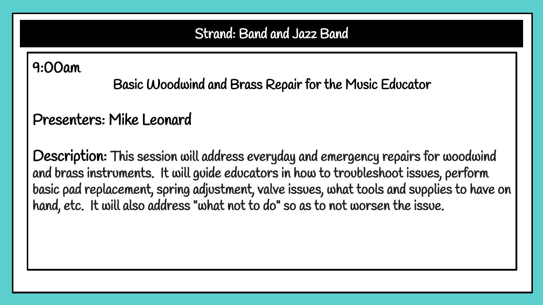# <span id="page-25-0"></span>9:00am

Basic Woodwind and Brass Repair for the Music Educator

# Presenters: Mike Leonard

Description: This session will address everyday and emergency repairs for woodwind and brass instruments. It will guide educators in how to troubleshoot issues, perform basic pad replacement, spring adjustment, valve issues, what tools and supplies to have on hand, etc. It will also address "what not to do" so as to not worsen the issue.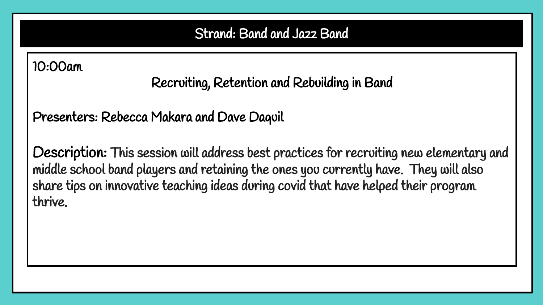# <span id="page-26-0"></span>10:00am

Recruiting, Retention and Rebuilding in Band

Presenters: Rebecca Makara and Dave Daquil

Description: This session will address best practices for recruiting new elementary and middle school band players and retaining the ones you currently have. They will also share tips on innovative teaching ideas during covid that have helped their program thrive.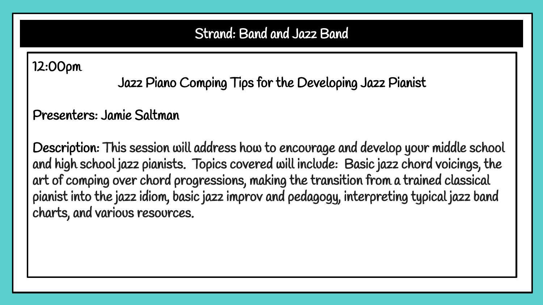<span id="page-27-0"></span>12:00pm

Jazz Piano Comping Tips for the Developing Jazz Pianist

Presenters: Jamie Saltman

Description: This session will address how to encourage and develop your middle school and high school jazz pianists. Topics covered will include: Basic jazz chord voicings, the art of comping over chord progressions, making the transition from a trained classical pianist into the jazz idiom, basic jazz improv and pedagogy, interpreting typical jazz band charts, and various resources.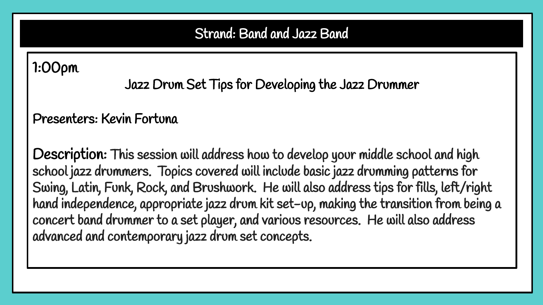# <span id="page-28-0"></span>1:00pm

Jazz Drum Set Tips for Developing the Jazz Drummer

## Presenters: Kevin Fortuna

Description: This session will address how to develop your middle school and high school jazz drummers. Topics covered will include basic jazz drumming patterns for Swing, Latin, Funk, Rock, and Brushwork. He will also address tips for fills, left/right hand independence, appropriate jazz drum kit set-up, making the transition from being a concert band drummer to a set player, and various resources. He will also address advanced and contemporary jazz drum set concepts.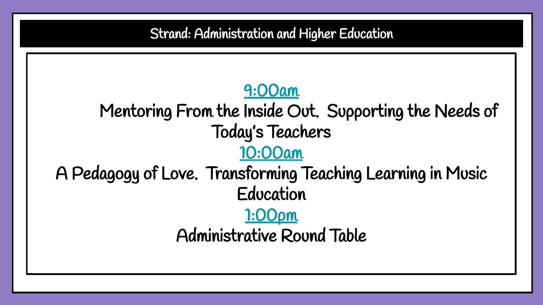<span id="page-29-0"></span>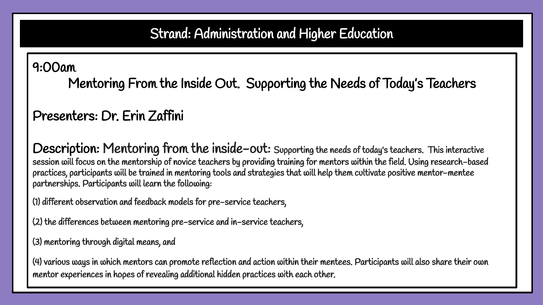# Strand: Administration and Higher Education

<span id="page-30-0"></span>9:00am

Mentoring From the Inside Out. Supporting the Needs of Today's Teachers

Presenters: Dr. Erin Zaffini

Description: Mentoring from the inside-out: Supporting the needs of today's teachers. This interactive session will focus on the mentorship of novice teachers by providing training for mentors within the field. Using research-based practices, participants will be trained in mentoring tools and strategies that will help them cultivate positive mentor-mentee partnerships. Participants will learn the following:

(1) different observation and feedback models for pre-service teachers,

(2) the differences between mentoring pre-service and in-service teachers,

(3) mentoring through digital means, and

(4) various ways in which mentors can promote reflection and action within their mentees. Participants will also share their own mentor experiences in hopes of revealing additional hidden practices with each other.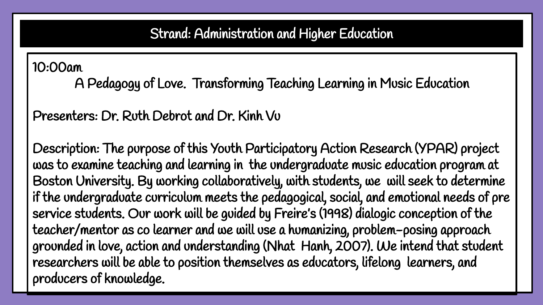### Strand: Administration and Higher Education

<span id="page-31-0"></span>10:00am

A Pedagogy of Love. Transforming Teaching Learning in Music Education

Presenters: Dr. Ruth Debrot and Dr. Kinh Vu

Description: The purpose of this Youth Participatory Action Research (YPAR) project was to examine teaching and learning in the undergraduate music education program at Boston University. By working collaboratively, with students, we will seek to determine if the undergraduate curriculum meets the pedagogical, social, and emotional needs of pre service students. Our work will be guided by Freire's (1998) dialogic conception of the teacher/mentor as co learner and we will use a humanizing, problem-posing approach grounded in love, action and understanding (Nhat Hanh, 2007). We intend that student researchers will be able to position themselves as educators, lifelong learners, and producers of knowledge.